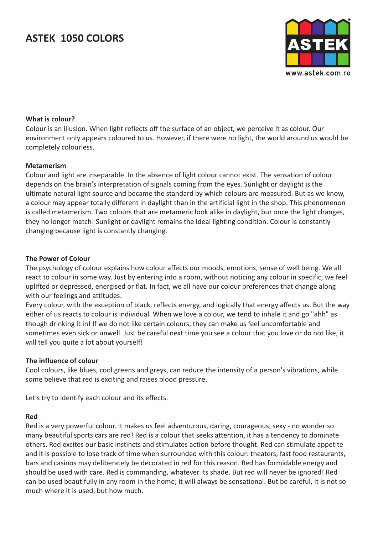

## **What is colour?**

Colour is an illusion. When light reflects off the surface of an object, we perceive it as colour. Our environment only appears coloured to us. However, if there were no light, the world around us would be completely colourless.

## **Metamerism**

Colour and light are inseparable. In the absence of light colour cannot exist. The sensation of colour depends on the brain's interpretation of signals coming from the eyes. Sunlight or daylight is the ultimate natural light source and became the standard by which colours are measured. But as we know, a colour may appear totally different in daylight than in the artificial light in the shop. This phenomenon is called metamerism. Two colours that are metameric look alike in daylight, but once the light changes, they no longer match! Sunlight or daylight remains the ideal lighting condition. Colour is constantly changing because light is constantly changing.

## **The Power of Colour**

The psychology of colour explains how colour affects our moods, emotions, sense of well being. We all react to colour in some way. Just by entering into a room, without noticing any colour in specific, we feel uplifted or depressed, energised or flat. In fact, we all have our colour preferences that change along with our feelings and attitudes.

Every colour, with the exception of black, reflects energy, and logically that energy affects us. But the way either of us reacts to colour is individual. When we love a colour, we tend to inhale it and go "ahh" as though drinking it in! If we do not like certain colours, they can make us feel uncomfortable and sometimes even sick or unwell. Just be careful next time you see a colour that you love or do not like, it will tell you quite a lot about yourself!

## **The influence of colour**

Cool colours, like blues, cool greens and greys, can reduce the intensity of a person's vibrations, while some believe that red is exciting and raises blood pressure.

Let's try to identify each colour and its effects.

#### **Red**

Red is a very powerful colour. It makes us feel adventurous, daring, courageous, sexy - no wonder so many beautiful sports cars are red! Red is a colour that seeks attention, it has a tendency to dominate others. Red excites our basic instincts and stimulates action before thought. Red can stimulate appetite and it is possible to lose track of time when surrounded with this colour: theaters, fast food restaurants, bars and casinos may deliberately be decorated in red for this reason. Red has formidable energy and should be used with care. Red is commanding, whatever its shade. But red will never be ignored! Red can be used beautifully in any room in the home; it will always be sensational. But be careful, it is not so much where it is used, but how much.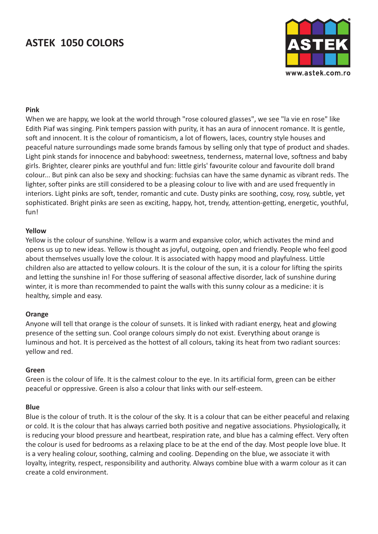

### **Pink**

When we are happy, we look at the world through "rose coloured glasses", we see "la vie en rose" like Edith Piaf was singing. Pink tempers passion with purity, it has an aura of innocent romance. It is gentle, soft and innocent. It is the colour of romanticism, a lot of flowers, laces, country style houses and peaceful nature surroundings made some brands famous by selling only that type of product and shades. Light pink stands for innocence and babyhood: sweetness, tenderness, maternal love, softness and baby girls. Brighter, clearer pinks are youthful and fun: little girls' favourite colour and favourite doll brand colour... But pink can also be sexy and shocking: fuchsias can have the same dynamic as vibrant reds. The lighter, softer pinks are still considered to be a pleasing colour to live with and are used frequently in interiors. Light pinks are soft, tender, romantic and cute. Dusty pinks are soothing, cosy, rosy, subtle, yet sophisticated. Bright pinks are seen as exciting, happy, hot, trendy, attention-getting, energetic, youthful, fun!

### **Yellow**

Yellow is the colour of sunshine. Yellow is a warm and expansive color, which activates the mind and opens us up to new ideas. Yellow is thought as joyful, outgoing, open and friendly. People who feel good about themselves usually love the colour. It is associated with happy mood and playfulness. Little children also are attacted to yellow colours. It is the colour of the sun, it is a colour for lifting the spirits and letting the sunshine in! For those suffering of seasonal affective disorder, lack of sunshine during winter, it is more than recommended to paint the walls with this sunny colour as a medicine: it is healthy, simple and easy.

#### **Orange**

Anyone will tell that orange is the colour of sunsets. It is linked with radiant energy, heat and glowing presence of the setting sun. Cool orange colours simply do not exist. Everything about orange is luminous and hot. It is perceived as the hottest of all colours, taking its heat from two radiant sources: yellow and red.

#### **Green**

Green is the colour of life. It is the calmest colour to the eye. In its artificial form, green can be either peaceful or oppressive. Green is also a colour that links with our self-esteem.

#### **Blue**

Blue is the colour of truth. It is the colour of the sky. It is a colour that can be either peaceful and relaxing or cold. It is the colour that has always carried both positive and negative associations. Physiologically, it is reducing your blood pressure and heartbeat, respiration rate, and blue has a calming effect. Very often the colour is used for bedrooms as a relaxing place to be at the end of the day. Most people love blue. It is a very healing colour, soothing, calming and cooling. Depending on the blue, we associate it with loyalty, integrity, respect, responsibility and authority. Always combine blue with a warm colour as it can create a cold environment.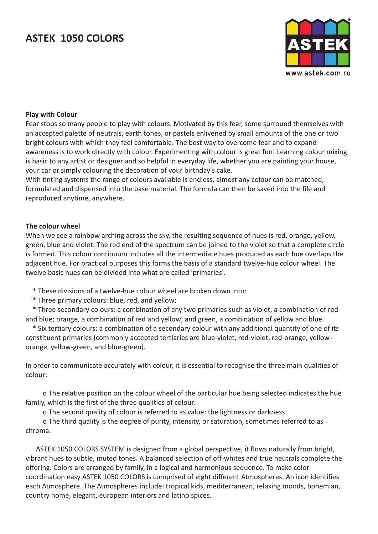

### **Play with Colour**

Fear stops so many people to play with colours. Motivated by this fear, some surround themselves with an accepted palette of neutrals, earth tones, or pastels enlivened by small amounts of the one or two bright colours with which they feel comfortable. The best way to overcome fear and to expand awareness is to work directly with colour. Experimenting with colour is great fun! Learning colour mixing is basic to any artist or designer and so helpful in everyday life, whether you are painting your house, your car or simply colouring the decoration of your birthday's cake.

With tinting systems the range of colours available is endless, almost any colour can be matched, formulated and dispensed into the base material. The formula can then be saved into the file and reproduced anytime, anywhere.

### **The colour wheel**

When we see a rainbow arching across the sky, the resulting sequence of hues is red, orange, yellow, green, blue and violet. The red end of the spectrum can be joined to the violet so that a complete circle is formed. This colour continuum includes all the intermediate hues produced as each hue overlaps the adjacent hue. For practical purposes this forms the basis of a standard twelve-hue colour wheel. The twelve basic hues can be divided into what are called 'primaries'.

- \* These divisions of a twelve-hue colour wheel are broken down into:
- \* Three primary colours: blue, red, and yellow;

 \* Three secondary colours: a combination of any two primaries such as violet, a combination of red and blue; orange, a combination of red and yellow; and green, a combination of yellow and blue.

 \* Six tertiary colours: a combination of a secondary colour with any additional quantity of one of its constituent primaries (commonly accepted tertiaries are blue-violet, red-violet, red-orange, yelloworange, yellow-green, and blue-green).

In order to communicate accurately with colour, it is essential to recognise the three main qualities of colour:

 o The relative position on the colour wheel of the particular hue being selected indicates the hue family, which is the first of the three qualities of colour.

o The second quality of colour is referred to as value: the lightness or darkness.

 o The third quality is the degree of purity, intensity, or saturation, sometimes referred to as chroma.

 ASTEK 1050 COLORS SYSTEM is designed from a global perspective, it flows naturally from bright, vibrant hues to subtle, muted tones. A balanced selection of off-whites and true neutrals complete the offering. Colors are arranged by family, in a logical and harmonious sequence. To make color coordination easy ASTEK 1050 COLORS is comprised of eight different Atmospheres. An icon identifies each Atmosphere. The Atmospheres include: tropical kids, mediterranean, relaxing moods, bohemian, country home, elegant, european interiors and latino spices.